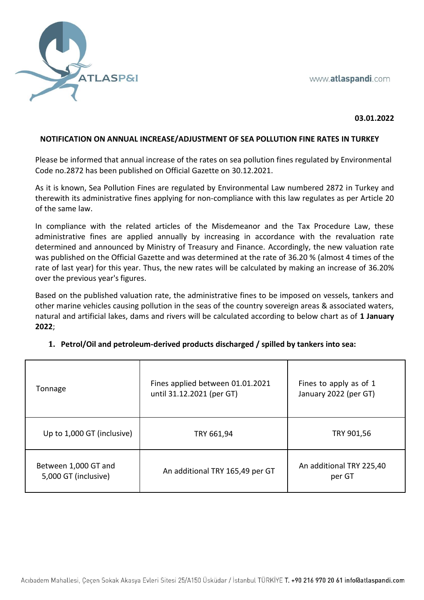

#### **03.01.2022**

#### **NOTIFICATION ON ANNUAL INCREASE/ADJUSTMENT OF SEA POLLUTION FINE RATES IN TURKEY**

Please be informed that annual increase of the rates on sea pollution fines regulated by Environmental Code no.2872 has been published on Official Gazette on 30.12.2021.

As it is known, Sea Pollution Fines are regulated by Environmental Law numbered 2872 in Turkey and therewith its administrative fines applying for non-compliance with this law regulates as per Article 20 of the same law.

In compliance with the related articles of the Misdemeanor and the Tax Procedure Law, these administrative fines are applied annually by increasing in accordance with the revaluation rate determined and announced by Ministry of Treasury and Finance. Accordingly, the new valuation rate was published on the Official Gazette and was determined at the rate of 36.20 % (almost 4 times of the rate of last year) for this year. Thus, the new rates will be calculated by making an increase of 36.20% over the previous year's figures.

Based on the published valuation rate, the administrative fines to be imposed on vessels, tankers and other marine vehicles causing pollution in the seas of the country sovereign areas & associated waters, natural and artificial lakes, dams and rivers will be calculated according to below chart as of **1 January 2022**;

| Tonnage                                      | Fines applied between 01.01.2021<br>until 31.12.2021 (per GT) | Fines to apply as of 1<br>January 2022 (per GT) |
|----------------------------------------------|---------------------------------------------------------------|-------------------------------------------------|
| Up to 1,000 GT (inclusive)                   | TRY 661,94                                                    | TRY 901,56                                      |
| Between 1,000 GT and<br>5,000 GT (inclusive) | An additional TRY 165,49 per GT                               | An additional TRY 225,40<br>per GT              |

### **1. Petrol/Oil and petroleum-derived products discharged / spilled by tankers into sea:**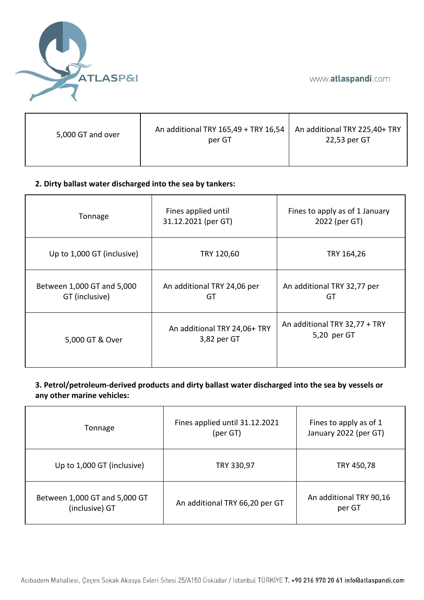

| 5,000 GT and over | An additional TRY 165,49 + TRY 16,54 $\vert$ An additional TRY 225,40+ TRY<br>per GT | 22,53 per GT |
|-------------------|--------------------------------------------------------------------------------------|--------------|
|                   |                                                                                      |              |

# **2. Dirty ballast water discharged into the sea by tankers:**

| Tonnage                                      | Fines applied until<br>31.12.2021 (per GT)  | Fines to apply as of 1 January<br>2022 (per GT) |
|----------------------------------------------|---------------------------------------------|-------------------------------------------------|
| Up to 1,000 GT (inclusive)                   | TRY 120,60                                  | TRY 164,26                                      |
| Between 1,000 GT and 5,000<br>GT (inclusive) | An additional TRY 24,06 per<br>GT           | An additional TRY 32,77 per<br>GT               |
| 5,000 GT & Over                              | An additional TRY 24,06+ TRY<br>3,82 per GT | An additional TRY 32,77 + TRY<br>5,20 per GT    |

# **3. Petrol/petroleum-derived products and dirty ballast water discharged into the sea by vessels or any other marine vehicles:**

| Tonnage                                         | Fines applied until 31.12.2021<br>(per GT) | Fines to apply as of 1<br>January 2022 (per GT) |
|-------------------------------------------------|--------------------------------------------|-------------------------------------------------|
| Up to 1,000 GT (inclusive)                      | TRY 330,97                                 | TRY 450,78                                      |
| Between 1,000 GT and 5,000 GT<br>(inclusive) GT | An additional TRY 66,20 per GT             | An additional TRY 90,16<br>per GT               |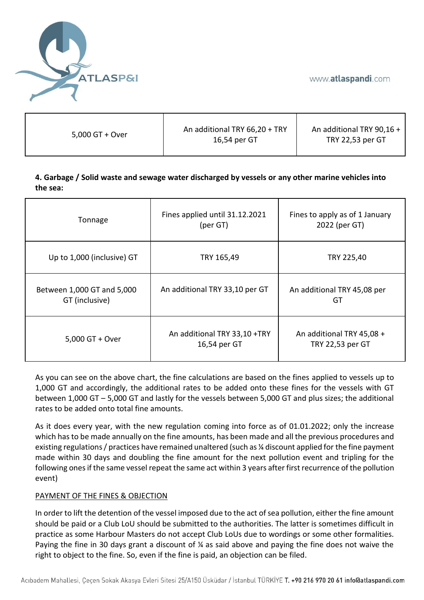

| 5,000 GT + Over | An additional TRY 66,20 + TRY | An additional TRY 90,16 + |
|-----------------|-------------------------------|---------------------------|
|                 | 16,54 per GT                  | TRY 22,53 per GT          |

# **4. Garbage / Solid waste and sewage water discharged by vessels or any other marine vehicles into the sea:**

| Tonnage                                      | Fines applied until 31.12.2021<br>(per GT)   | Fines to apply as of 1 January<br>2022 (per GT) |
|----------------------------------------------|----------------------------------------------|-------------------------------------------------|
| Up to 1,000 (inclusive) GT                   | TRY 165,49                                   | TRY 225,40                                      |
| Between 1,000 GT and 5,000<br>GT (inclusive) | An additional TRY 33,10 per GT               | An additional TRY 45,08 per<br>GT               |
| 5,000 GT + Over                              | An additional TRY 33,10 +TRY<br>16,54 per GT | An additional TRY 45,08 +<br>TRY 22,53 per GT   |

As you can see on the above chart, the fine calculations are based on the fines applied to vessels up to 1,000 GT and accordingly, the additional rates to be added onto these fines for the vessels with GT between 1,000 GT – 5,000 GT and lastly for the vessels between 5,000 GT and plus sizes; the additional rates to be added onto total fine amounts.

As it does every year, with the new regulation coming into force as of 01.01.2022; only the increase which has to be made annually on the fine amounts, has been made and all the previous procedures and existing regulations / practices have remained unaltered (such as ¼ discount applied for the fine payment made within 30 days and doubling the fine amount for the next pollution event and tripling for the following ones if the same vessel repeat the same act within 3 years after first recurrence of the pollution event)

### PAYMENT OF THE FINES & OBJECTION

In order to lift the detention of the vessel imposed due to the act of sea pollution, either the fine amount should be paid or a Club LoU should be submitted to the authorities. The latter is sometimes difficult in practice as some Harbour Masters do not accept Club LoUs due to wordings or some other formalities. Paying the fine in 30 days grant a discount of ¼ as said above and paying the fine does not waive the right to object to the fine. So, even if the fine is paid, an objection can be filed.